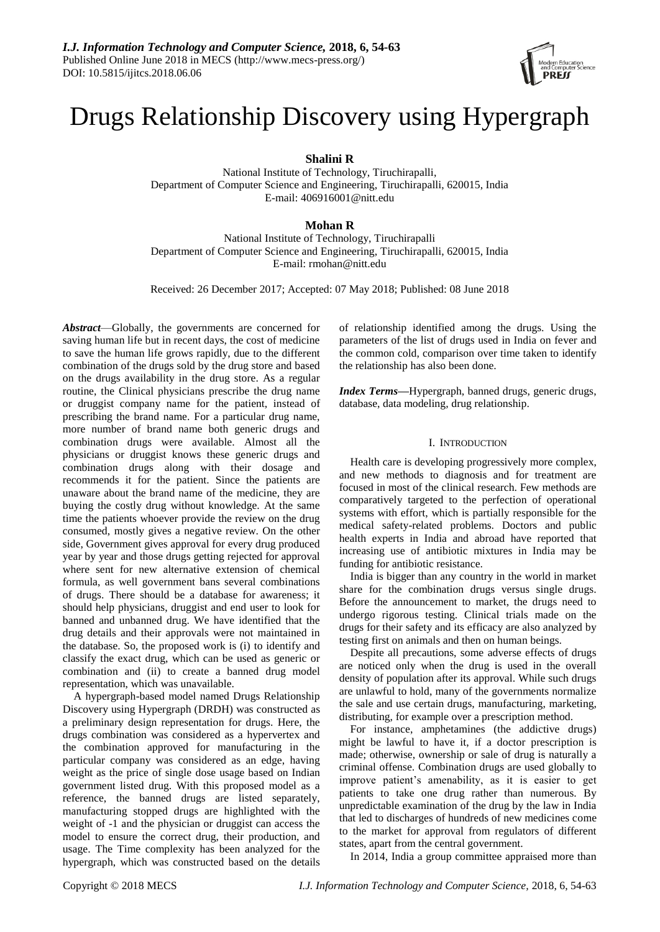# Drugs Relationship Discovery using Hypergraph

**Shalini R**

National Institute of Technology, Tiruchirapalli, Department of Computer Science and Engineering, Tiruchirapalli, 620015, India E-mail: 406916001@nitt.edu

**Mohan R**

National Institute of Technology, Tiruchirapalli Department of Computer Science and Engineering, Tiruchirapalli, 620015, India E-mail: rmohan@nitt.edu

Received: 26 December 2017; Accepted: 07 May 2018; Published: 08 June 2018

*Abstract*—Globally, the governments are concerned for saving human life but in recent days, the cost of medicine to save the human life grows rapidly, due to the different combination of the drugs sold by the drug store and based on the drugs availability in the drug store. As a regular routine, the Clinical physicians prescribe the drug name or druggist company name for the patient, instead of prescribing the brand name. For a particular drug name, more number of brand name both generic drugs and combination drugs were available. Almost all the physicians or druggist knows these generic drugs and combination drugs along with their dosage and recommends it for the patient. Since the patients are unaware about the brand name of the medicine, they are buying the costly drug without knowledge. At the same time the patients whoever provide the review on the drug consumed, mostly gives a negative review. On the other side, Government gives approval for every drug produced year by year and those drugs getting rejected for approval where sent for new alternative extension of chemical formula, as well government bans several combinations of drugs. There should be a database for awareness; it should help physicians, druggist and end user to look for banned and unbanned drug. We have identified that the drug details and their approvals were not maintained in the database. So, the proposed work is (i) to identify and classify the exact drug, which can be used as generic or combination and (ii) to create a banned drug model representation, which was unavailable.

A hypergraph-based model named Drugs Relationship Discovery using Hypergraph (DRDH) was constructed as a preliminary design representation for drugs. Here, the drugs combination was considered as a hypervertex and the combination approved for manufacturing in the particular company was considered as an edge, having weight as the price of single dose usage based on Indian government listed drug. With this proposed model as a reference, the banned drugs are listed separately, manufacturing stopped drugs are highlighted with the weight of -1 and the physician or druggist can access the model to ensure the correct drug, their production, and usage. The Time complexity has been analyzed for the hypergraph, which was constructed based on the details

of relationship identified among the drugs. Using the parameters of the list of drugs used in India on fever and the common cold, comparison over time taken to identify the relationship has also been done.

*Index Terms***—**Hypergraph, banned drugs, generic drugs, database, data modeling, drug relationship.

#### I. INTRODUCTION

Health care is developing progressively more complex, and new methods to diagnosis and for treatment are focused in most of the clinical research. Few methods are comparatively targeted to the perfection of operational systems with effort, which is partially responsible for the medical safety-related problems. Doctors and public health experts in India and abroad have reported that increasing use of antibiotic mixtures in India may be funding for antibiotic resistance.

India is bigger than any country in the world in market share for the combination drugs versus single drugs. Before the announcement to market, the drugs need to undergo rigorous testing. Clinical trials made on the drugs for their safety and its efficacy are also analyzed by testing first on animals and then on human beings.

Despite all precautions, some adverse effects of drugs are noticed only when the drug is used in the overall density of population after its approval. While such drugs are unlawful to hold, many of the governments normalize the sale and use certain drugs, manufacturing, marketing, distributing, for example over a prescription method.

For instance, amphetamines (the addictive drugs) might be lawful to have it, if a doctor prescription is made; otherwise, ownership or sale of drug is naturally a criminal offense. Combination drugs are used globally to improve patient's amenability, as it is easier to get patients to take one drug rather than numerous. By unpredictable examination of the drug by the law in India that led to discharges of hundreds of new medicines come to the market for approval from regulators of different states, apart from the central government.

In 2014, India a group committee appraised more than

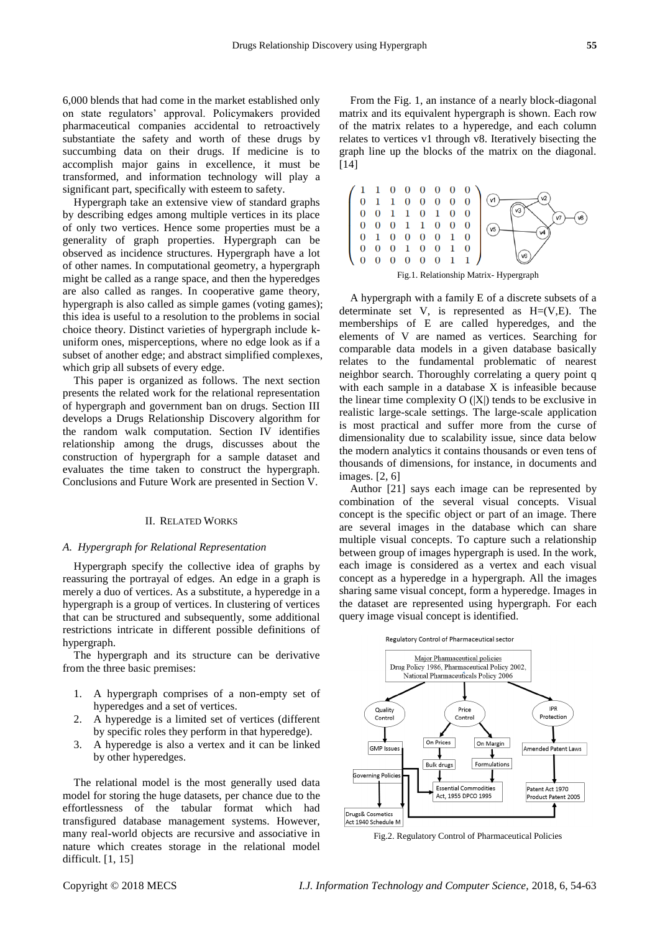6,000 blends that had come in the market established only on state regulators' approval. Policymakers provided pharmaceutical companies accidental to retroactively substantiate the safety and worth of these drugs by succumbing data on their drugs. If medicine is to accomplish major gains in excellence, it must be transformed, and information technology will play a significant part, specifically with esteem to safety.

Hypergraph take an extensive view of standard graphs by describing edges among multiple vertices in its place of only two vertices. Hence some properties must be a generality of graph properties. Hypergraph can be observed as incidence structures. Hypergraph have a lot of other names. In computational geometry, a hypergraph might be called as a range space, and then the hyperedges are also called as ranges. In cooperative game theory, hypergraph is also called as simple games (voting games); this idea is useful to a resolution to the problems in social choice theory. Distinct varieties of hypergraph include kuniform ones, misperceptions, where no edge look as if a subset of another edge; and abstract simplified complexes, which grip all subsets of every edge.

This paper is organized as follows. The next section presents the related work for the relational representation of hypergraph and government ban on drugs. Section III develops a Drugs Relationship Discovery algorithm for the random walk computation. Section IV identifies relationship among the drugs, discusses about the construction of hypergraph for a sample dataset and evaluates the time taken to construct the hypergraph. Conclusions and Future Work are presented in Section V.

#### II. RELATED WORKS

#### *A. Hypergraph for Relational Representation*

[Hypergraph](https://en.wikipedia.org/wiki/Hypergraph) specify the collective idea of graphs by reassuring the portrayal of edges. An edge in a graph is merely a duo of vertices. As a substitute, a hyperedge in a hypergraph is a group of vertices. In clustering of vertices that can be structured and subsequently, some additional restrictions intricate in different possible definitions of hypergraph.

The hypergraph and its structure can be derivative from the three basic premises:

- 1. A hypergraph comprises of a non-empty set of hyperedges and a set of vertices.
- 2. A hyperedge is a limited set of vertices (different by specific roles they perform in that hyperedge).
- 3. A hyperedge is also a vertex and it can be linked by other hyperedges.

The relational model is the most generally used data model for storing the huge datasets, per chance due to the effortlessness of the tabular format which had transfigured database management systems. However, many real-world objects are recursive and associative in nature which creates storage in the relational model difficult. [1, 15]

From the Fig. 1, an instance of a nearly block-diagonal matrix and its equivalent hypergraph is shown. Each row of the matrix relates to a hyperedge, and each column relates to vertices v1 through v8. Iteratively bisecting the graph line up the blocks of the matrix on the diagonal. [14]



A hypergraph with a family E of a discrete subsets of a determinate set V, is represented as  $H=(V,E)$ . The memberships of E are called hyperedges, and the elements of V are named as vertices. Searching for comparable data models in a given database basically relates to the fundamental problematic of nearest neighbor search. Thoroughly correlating a query point q with each sample in a database X is infeasible because the linear time complexity  $O(|X|)$  tends to be exclusive in realistic large-scale settings. The large-scale application is most practical and suffer more from the curse of dimensionality due to scalability issue, since data below the modern analytics it contains thousands or even tens of thousands of dimensions, for instance, in documents and images. [2, 6]

Author [21] says each image can be represented by combination of the several visual concepts. Visual concept is the specific object or part of an image. There are several images in the database which can share multiple visual concepts. To capture such a relationship between group of images hypergraph is used. In the work, each image is considered as a vertex and each visual concept as a hyperedge in a hypergraph. All the images sharing same visual concept, form a hyperedge. Images in the dataset are represented using hypergraph. For each query image visual concept is identified.





Fig.2. Regulatory Control of Pharmaceutical Policies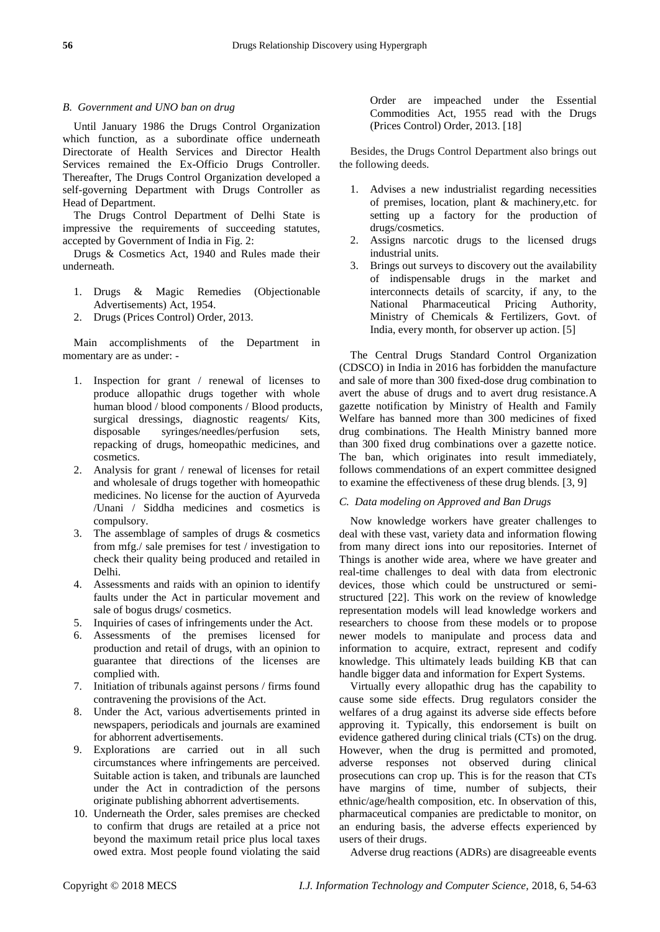### *B. Government and UNO ban on drug*

Until January 1986 the Drugs Control Organization which function, as a subordinate office underneath Directorate of Health Services and Director Health Services remained the Ex-Officio Drugs Controller. Thereafter, The Drugs Control Organization developed a self-governing Department with Drugs Controller as Head of Department.

The Drugs Control Department of Delhi State is impressive the requirements of succeeding statutes, accepted by Government of India in Fig. 2:

Drugs & Cosmetics Act, 1940 and Rules made their underneath.

- 1. Drugs & Magic Remedies (Objectionable Advertisements) Act, 1954.
- 2. Drugs (Prices Control) Order, 2013.

Main accomplishments of the Department in momentary are as under: -

- 1. Inspection for grant / renewal of licenses to produce allopathic drugs together with whole human blood / blood components / Blood products, surgical dressings, diagnostic reagents/ Kits, disposable syringes/needles/perfusion sets, repacking of drugs, homeopathic medicines, and cosmetics.
- 2. Analysis for grant / renewal of licenses for retail and wholesale of drugs together with homeopathic medicines. No license for the auction of Ayurveda /Unani / Siddha medicines and cosmetics is compulsory.
- 3. The assemblage of samples of drugs & cosmetics from mfg./ sale premises for test / investigation to check their quality being produced and retailed in Delhi.
- 4. Assessments and raids with an opinion to identify faults under the Act in particular movement and sale of bogus drugs/ cosmetics.
- 5. Inquiries of cases of infringements under the Act.
- 6. Assessments of the premises licensed for production and retail of drugs, with an opinion to guarantee that directions of the licenses are complied with.
- 7. Initiation of tribunals against persons / firms found contravening the provisions of the Act.
- 8. Under the Act, various advertisements printed in newspapers, periodicals and journals are examined for abhorrent advertisements.
- 9. Explorations are carried out in all such circumstances where infringements are perceived. Suitable action is taken, and tribunals are launched under the Act in contradiction of the persons originate publishing abhorrent advertisements.
- 10. Underneath the Order, sales premises are checked to confirm that drugs are retailed at a price not beyond the maximum retail price plus local taxes owed extra. Most people found violating the said

Order are impeached under the Essential Commodities Act, 1955 read with the Drugs (Prices Control) Order, 2013. [18]

Besides, the Drugs Control Department also brings out the following deeds.

- 1. Advises a new industrialist regarding necessities of premises, location, plant & machinery,etc. for setting up a factory for the production of drugs/cosmetics.
- 2. Assigns narcotic drugs to the licensed drugs industrial units.
- 3. Brings out surveys to discovery out the availability of indispensable drugs in the market and interconnects details of scarcity, if any, to the National Pharmaceutical Pricing Authority, Ministry of Chemicals & Fertilizers, Govt. of India, every month, for observer up action. [5]

The Central Drugs Standard Control Organization (CDSCO) in India in 2016 has forbidden the manufacture and sale of more than 300 fixed-dose drug combination to avert the abuse of drugs and to avert drug resistance.A gazette notification by Ministry of Health and Family Welfare has banned more than 300 medicines of fixed drug combinations. The Health Ministry banned more than 300 fixed drug combinations over a gazette notice. The ban, which originates into result immediately, follows commendations of an expert committee designed to examine the effectiveness of these drug blends. [3, 9]

## *C. Data modeling on Approved and Ban Drugs*

Now knowledge workers have greater challenges to deal with these vast, variety data and information flowing from many direct ions into our repositories. Internet of Things is another wide area, where we have greater and real-time challenges to deal with data from electronic devices, those which could be unstructured or semistructured [22]. This work on the review of knowledge representation models will lead knowledge workers and researchers to choose from these models or to propose newer models to manipulate and process data and information to acquire, extract, represent and codify knowledge. This ultimately leads building KB that can handle bigger data and information for Expert Systems.

Virtually every allopathic drug has the capability to cause some side effects. Drug regulators consider the welfares of a drug against its adverse side effects before approving it. Typically, this endorsement is built on evidence gathered during clinical trials (CTs) on the drug. However, when the drug is permitted and promoted, adverse responses not observed during clinical prosecutions can crop up. This is for the reason that CTs have margins of time, number of subjects, their ethnic/age/health composition, etc. In observation of this, pharmaceutical companies are predictable to monitor, on an enduring basis, the adverse effects experienced by users of their drugs.

Adverse drug reactions (ADRs) are disagreeable events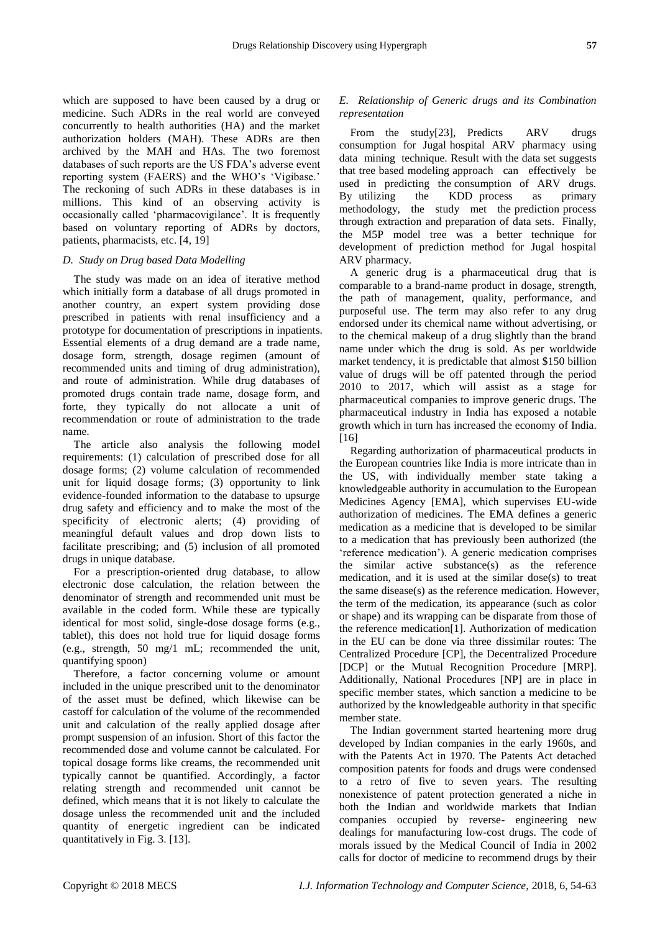which are supposed to have been caused by a drug or medicine. Such ADRs in the real world are conveyed concurrently to health authorities (HA) and the market authorization holders (MAH). These ADRs are then archived by the MAH and HAs. The two foremost databases of such reports are the US FDA's adverse event reporting system (FAERS) and the WHO's 'Vigibase.' The reckoning of such ADRs in these databases is in millions. This kind of an observing activity is occasionally called 'pharmacovigilance'. It is frequently based on voluntary reporting of ADRs by doctors, patients, pharmacists, etc. [4, 19]

### *D. Study on Drug based Data Modelling*

The study was made on an idea of iterative method which initially form a database of all drugs promoted in another country, an expert system providing dose prescribed in patients with renal insufficiency and a prototype for documentation of prescriptions in inpatients. Essential elements of a drug demand are a trade name, dosage form, strength, dosage regimen (amount of recommended units and timing of drug administration), and route of administration. While drug databases of promoted drugs contain trade name, dosage form, and forte, they typically do not allocate a unit of recommendation or route of administration to the trade name.

The article also analysis the following model requirements: (1) calculation of prescribed dose for all dosage forms; (2) volume calculation of recommended unit for liquid dosage forms; (3) opportunity to link evidence-founded information to the database to upsurge drug safety and efficiency and to make the most of the specificity of electronic alerts; (4) providing of meaningful default values and drop down lists to facilitate prescribing; and (5) inclusion of all promoted drugs in unique database.

For a prescription-oriented drug database, to allow electronic dose calculation, the relation between the denominator of strength and recommended unit must be available in the coded form. While these are typically identical for most solid, single-dose dosage forms (e.g., tablet), this does not hold true for liquid dosage forms (e.g., strength, 50 mg/1 mL; recommended the unit, quantifying spoon)

Therefore, a factor concerning volume or amount included in the unique prescribed unit to the denominator of the asset must be defined, which likewise can be castoff for calculation of the volume of the recommended unit and calculation of the really applied dosage after prompt suspension of an infusion. Short of this factor the recommended dose and volume cannot be calculated. For topical dosage forms like creams, the recommended unit typically cannot be quantified. Accordingly, a factor relating strength and recommended unit cannot be defined, which means that it is not likely to calculate the dosage unless the recommended unit and the included quantity of energetic ingredient can be indicated quantitatively in Fig. 3. [13].

## *E. Relationship of Generic drugs and its Combination representation*

From the study<sup>[23]</sup>, Predicts ARV drugs consumption for Jugal hospital ARV pharmacy using data mining technique. Result with the data set suggests that tree based modeling approach can effectively be used in predicting the consumption of ARV drugs. By utilizing the KDD process as primary methodology, the study met the prediction process through extraction and preparation of data sets. Finally, the M5P model tree was a better technique for development of prediction method for Jugal hospital ARV pharmacy.

A generic drug is a pharmaceutical drug that is comparable to a brand-name product in dosage, strength, the path of management, quality, performance, and purposeful use. The term may also refer to any drug endorsed under its chemical name without advertising, or to the chemical makeup of a drug slightly than the brand name under which the drug is sold. As per worldwide market tendency, it is predictable that almost \$150 billion value of drugs will be off patented through the period 2010 to 2017, which will assist as a stage for pharmaceutical companies to improve generic drugs. The pharmaceutical industry in India has exposed a notable growth which in turn has increased the economy of India. [16]

Regarding authorization of pharmaceutical products in the European countries like India is more intricate than in the US, with individually member state taking a knowledgeable authority in accumulation to the European Medicines Agency [EMA], which supervises EU-wide authorization of medicines. The EMA defines a generic medication as a medicine that is developed to be similar to a medication that has previously been authorized (the 'reference medication'). A generic medication comprises the similar active substance(s) as the reference medication, and it is used at the similar dose(s) to treat the same disease(s) as the reference medication. However, the term of the medication, its appearance (such as color or shape) and its wrapping can be disparate from those of the reference medication[1]. Authorization of medication in the EU can be done via three dissimilar routes: The Centralized Procedure [CP], the Decentralized Procedure [DCP] or the Mutual Recognition Procedure [MRP]. Additionally, National Procedures [NP] are in place in specific member states, which sanction a medicine to be authorized by the knowledgeable authority in that specific member state.

The Indian government started heartening more drug developed by Indian companies in the early 1960s, and with the Patents Act in 1970. The Patents Act detached composition patents for foods and drugs were condensed to a retro of five to seven years. The resulting nonexistence of patent protection generated a niche in both the Indian and worldwide markets that Indian companies occupied by reverse- engineering new dealings for manufacturing low-cost drugs. The code of morals issued by the Medical Council of India in 2002 calls for doctor of medicine to recommend drugs by their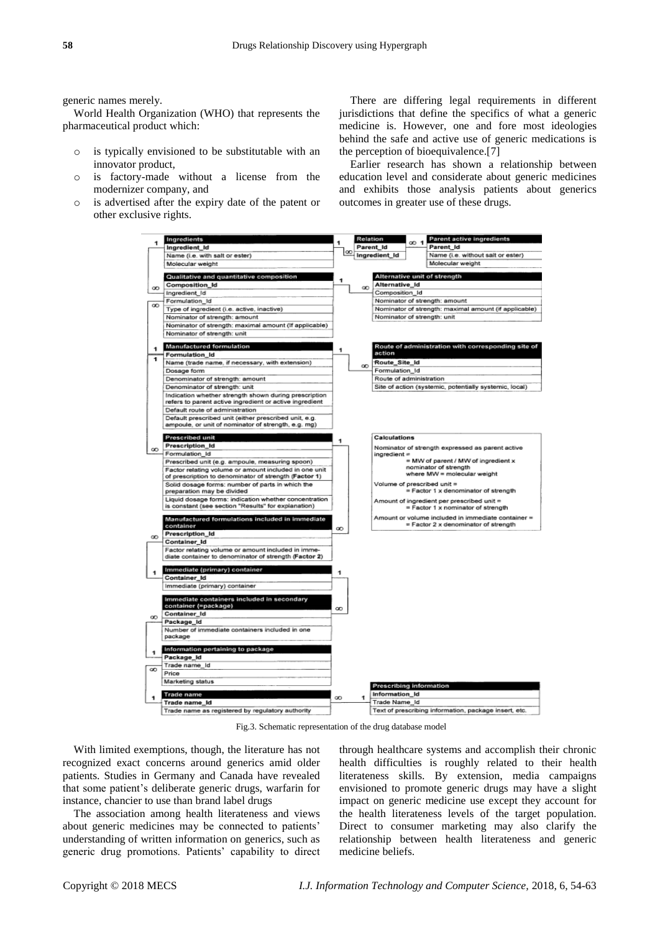generic names merely.

World Health Organization (WHO) that represents the pharmaceutical product which:

- o is typically envisioned to be substitutable with an innovator product,
- o is factory-made without a license from the modernizer company, and
- o is advertised after the expiry date of the patent or other exclusive rights.

There are differing legal requirements in different jurisdictions that define the specifics of what a generic medicine is. However, one and fore most ideologies behind the safe and active use of generic medications is the perception of bioequivalence.[7]

Earlier research has shown a relationship between education level and considerate about generic medicines and exhibits those analysis patients about generics outcomes in greater use of these drugs.



Fig.3. Schematic representation of the drug database model

With limited exemptions, though, the literature has not recognized exact concerns around generics amid older patients. Studies in Germany and Canada have revealed that some patient's deliberate generic drugs, warfarin for instance, chancier to use than brand label drugs

The association among health literateness and views about generic medicines may be connected to patients' understanding of written information on generics, such as generic drug promotions. Patients' capability to direct through healthcare systems and accomplish their chronic health difficulties is roughly related to their health literateness skills. By extension, media campaigns envisioned to promote generic drugs may have a slight impact on generic medicine use except they account for the health literateness levels of the target population. Direct to consumer marketing may also clarify the relationship between health literateness and generic medicine beliefs.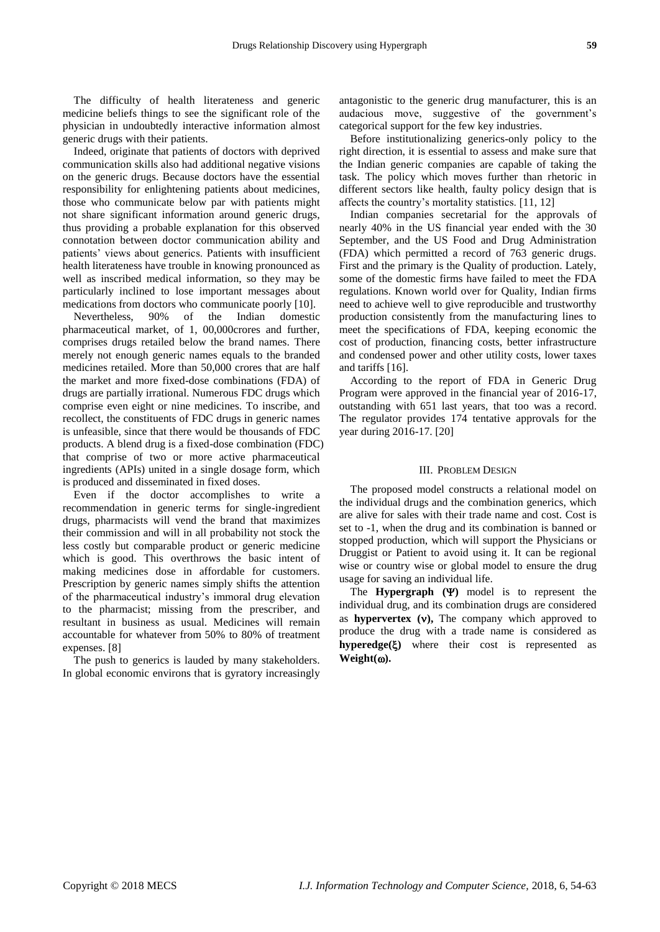The difficulty of health literateness and generic medicine beliefs things to see the significant role of the physician in undoubtedly interactive information almost generic drugs with their patients.

Indeed, originate that patients of doctors with deprived communication skills also had additional negative visions on the generic drugs. Because doctors have the essential responsibility for enlightening patients about medicines, those who communicate below par with patients might not share significant information around generic drugs, thus providing a probable explanation for this observed connotation between doctor communication ability and patients' views about generics. Patients with insufficient health literateness have trouble in knowing pronounced as well as inscribed medical information, so they may be particularly inclined to lose important messages about medications from doctors who communicate poorly [10].

Nevertheless, 90% of the Indian domestic pharmaceutical market, of 1, 00,000crores and further, comprises drugs retailed below the brand names. There merely not enough generic names equals to the branded medicines retailed. More than 50,000 crores that are half the market and more fixed-dose combinations (FDA) of drugs are partially irrational. Numerous FDC drugs which comprise even eight or nine medicines. To inscribe, and recollect, the constituents of FDC drugs in generic names is unfeasible, since that there would be thousands of FDC products. A blend drug is a fixed-dose combination (FDC) that comprise of two or more active pharmaceutical ingredients (APIs) united in a single dosage form, which is produced and disseminated in fixed doses.

Even if the doctor accomplishes to write a recommendation in generic terms for single-ingredient drugs, pharmacists will vend the brand that maximizes their commission and will in all probability not stock the less costly but comparable product or generic medicine which is good. This overthrows the basic intent of making medicines dose in affordable for customers. Prescription by generic names simply shifts the attention of the pharmaceutical industry's immoral drug elevation to the pharmacist; missing from the prescriber, and resultant in business as usual. Medicines will remain accountable for whatever from 50% to 80% of treatment expenses. [8]

The push to generics is lauded by many stakeholders. In global economic environs that is gyratory increasingly antagonistic to the generic drug manufacturer, this is an audacious move, suggestive of the government's categorical support for the few key industries.

Before institutionalizing generics-only policy to the right direction, it is essential to assess and make sure that the Indian generic companies are capable of taking the task. The policy which moves further than rhetoric in different sectors like health, faulty policy design that is affects the country's mortality statistics. [11, 12]

Indian companies secretarial for the approvals of nearly 40% in the US financial year ended with the 30 September, and the US Food and Drug Administration (FDA) which permitted a record of 763 generic drugs. First and the primary is the Quality of production. Lately, some of the domestic firms have failed to meet the FDA regulations. Known world over for Quality, Indian firms need to achieve well to give reproducible and trustworthy production consistently from the manufacturing lines to meet the specifications of FDA, keeping economic the cost of production, financing costs, better infrastructure and condensed power and other utility costs, lower taxes and tariffs [16].

According to the report of FDA in Generic Drug Program were approved in the financial year of 2016-17, outstanding with 651 last years, that too was a record. The regulator provides 174 tentative approvals for the year during 2016-17. [20]

#### III. PROBLEM DESIGN

The proposed model constructs a relational model on the individual drugs and the combination generics, which are alive for sales with their trade name and cost. Cost is set to -1, when the drug and its combination is banned or stopped production, which will support the Physicians or Druggist or Patient to avoid using it. It can be regional wise or country wise or global model to ensure the drug usage for saving an individual life.

The **Hypergraph**  $(\Psi)$  model is to represent the individual drug, and its combination drugs are considered as **hypervertex**  $(v)$ , The company which approved to produce the drug with a trade name is considered as **hyperedge()** where their cost is represented as **Weight().**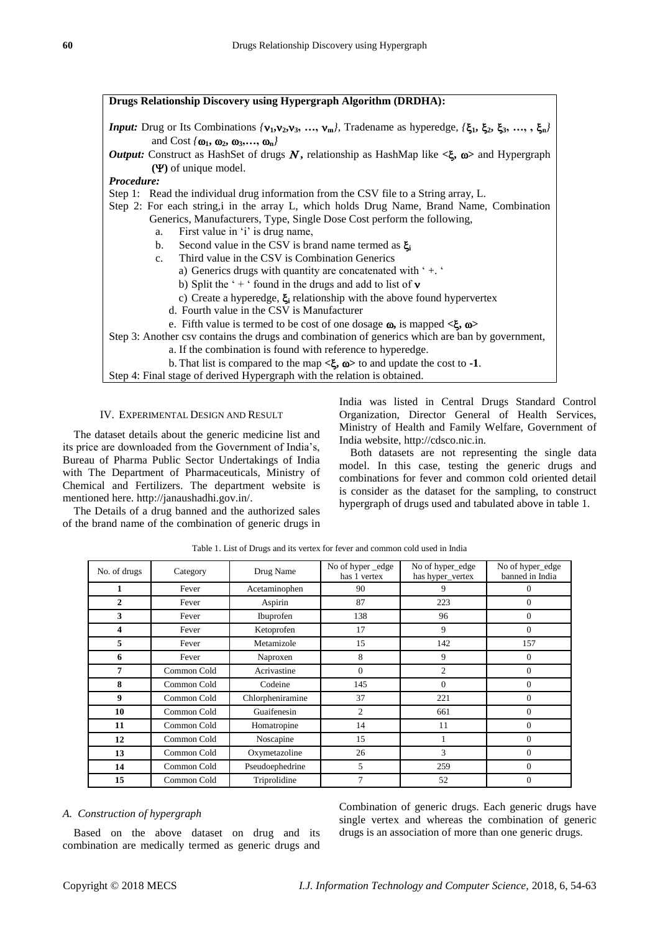| <b>Drugs Relationship Discovery using Hypergraph Algorithm (DRDHA):</b>                                                    |  |  |  |
|----------------------------------------------------------------------------------------------------------------------------|--|--|--|
| <i>Input:</i> Drug or Its Combinations $(v_1, v_2, v_3, , v_m)$ , Tradename as hyperedge, $(\xi_1, \xi_2, \xi_3, , \xi_m)$ |  |  |  |
| and Cost $\{\omega_1, \omega_2, \omega_3, \ldots, \omega_n\}$                                                              |  |  |  |
| <b>Output:</b> Construct as HashSet of drugs N, relationship as HashMap like $\lt \xi$ , $\omega$ and Hypergraph           |  |  |  |
| $(\Psi)$ of unique model.                                                                                                  |  |  |  |
| <i>Procedure:</i>                                                                                                          |  |  |  |
| Step 1: Read the individual drug information from the CSV file to a String array, L.                                       |  |  |  |
| Step 2: For each string, i in the array L, which holds Drug Name, Brand Name, Combination                                  |  |  |  |
| Generics, Manufacturers, Type, Single Dose Cost perform the following,                                                     |  |  |  |
| First value in 'i' is drug name,<br>a.                                                                                     |  |  |  |
| Second value in the CSV is brand name termed as $\xi_i$<br>$\mathbf{b}$ .                                                  |  |  |  |
| Third value in the CSV is Combination Generics<br>$c_{\cdot}$                                                              |  |  |  |
| a) Generics drugs with quantity are concatenated with $4.4$                                                                |  |  |  |
| b) Split the '+' found in the drugs and add to list of $\bf{v}$                                                            |  |  |  |
| c) Create a hyperedge, $\xi_i$ relationship with the above found hypervertex                                               |  |  |  |
| d. Fourth value in the CSV is Manufacturer                                                                                 |  |  |  |
| e. Fifth value is termed to be cost of one dosage $\omega$ , is mapped $\langle \xi, \omega \rangle$                       |  |  |  |
| Step 3: Another csv contains the drugs and combination of generics which are ban by government,                            |  |  |  |
| a. If the combination is found with reference to hyperedge.                                                                |  |  |  |
| b. That list is compared to the map $\langle \xi, \omega \rangle$ to and update the cost to -1.                            |  |  |  |
| Step 4: Final stage of derived Hypergraph with the relation is obtained.                                                   |  |  |  |

#### IV. EXPERIMENTAL DESIGN AND RESULT

The dataset details about the generic medicine list and its price are downloaded from the Government of India's, Bureau of Pharma Public Sector Undertakings of India with The Department of Pharmaceuticals, Ministry of Chemical and Fertilizers. The department website is mentioned here. [http://janaushadhi.gov.in/.](http://janaushadhi.gov.in/)

The Details of a drug banned and the authorized sales of the brand name of the combination of generic drugs in India was listed in Central Drugs Standard Control Organization, Director General of Health Services, Ministry of Health and Family Welfare, Government of India website, [http://cdsco.nic.in.](http://cdsco.nic.in/)

Both datasets are not representing the single data model. In this case, testing the generic drugs and combinations for fever and common cold oriented detail is consider as the dataset for the sampling, to construct hypergraph of drugs used and tabulated above in table 1.

| No. of drugs            | Category    | Drug Name        | No of hyper _edge<br>has 1 vertex | No of hyper_edge<br>has hyper_vertex | No of hyper_edge<br>banned in India |
|-------------------------|-------------|------------------|-----------------------------------|--------------------------------------|-------------------------------------|
| 1                       | Fever       | Acetaminophen    | 90                                | 9                                    | $\theta$                            |
| $\mathbf{2}$            | Fever       | Aspirin          | 87                                | 223                                  | $\overline{0}$                      |
| 3                       | Fever       | Ibuprofen        | 138                               | 96                                   | $\mathbf{0}$                        |
| $\overline{\mathbf{4}}$ | Fever       | Ketoprofen       | 17                                | 9                                    | $\theta$                            |
| 5                       | Fever       | Metamizole       | 15                                | 142                                  | 157                                 |
| 6                       | Fever       | Naproxen         | 8                                 | 9                                    | $\overline{0}$                      |
| 7                       | Common Cold | Acrivastine      | $\mathbf{0}$                      | $\overline{c}$                       | $\mathbf{0}$                        |
| 8                       | Common Cold | Codeine          | 145                               | $\Omega$                             | $\Omega$                            |
| 9                       | Common Cold | Chlorpheniramine | 37                                | 221                                  | $\overline{0}$                      |
| 10                      | Common Cold | Guaifenesin      | $\overline{c}$                    | 661                                  | $\Omega$                            |
| 11                      | Common Cold | Homatropine      | 14                                | 11                                   | $\Omega$                            |
| 12                      | Common Cold | Noscapine        | 15                                |                                      | $\overline{0}$                      |
| 13                      | Common Cold | Oxymetazoline    | 26                                | 3                                    | $\overline{0}$                      |
| 14                      | Common Cold | Pseudoephedrine  | 5                                 | 259                                  | $\Omega$                            |
| 15                      | Common Cold | Triprolidine     | 7                                 | 52                                   | $\Omega$                            |

Table 1. List of Drugs and its vertex for fever and common cold used in India

## *A. Construction of hypergraph*

Based on the above dataset on drug and its combination are medically termed as generic drugs and Combination of generic drugs. Each generic drugs have single vertex and whereas the combination of generic drugs is an association of more than one generic drugs.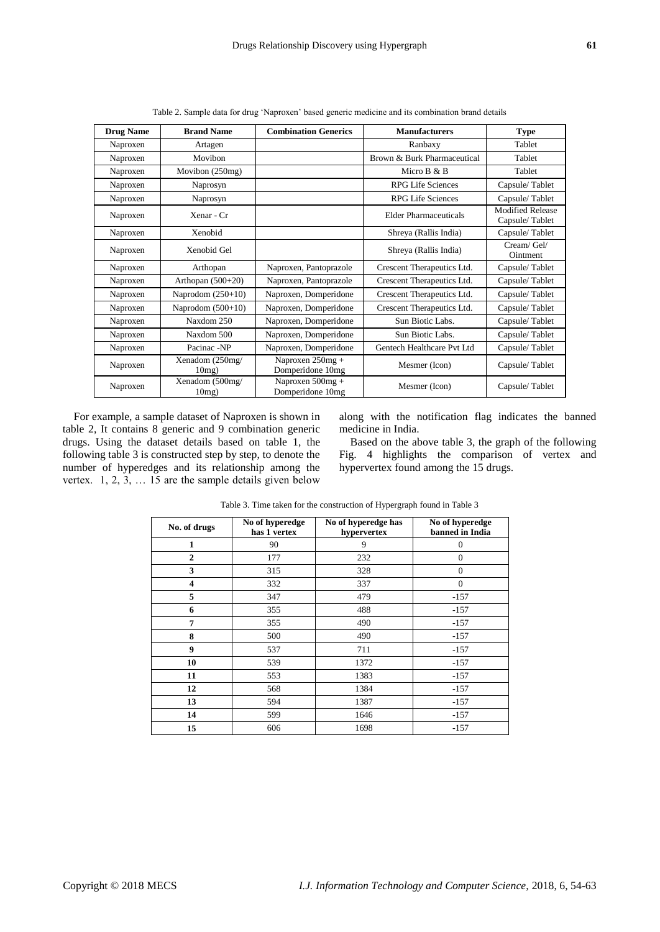| <b>Drug Name</b> | <b>Brand Name</b>           | <b>Combination Generics</b>             | <b>Manufacturers</b>        | <b>Type</b>                               |
|------------------|-----------------------------|-----------------------------------------|-----------------------------|-------------------------------------------|
| Naproxen         | Artagen                     |                                         | Ranbaxy                     | Tablet                                    |
| Naproxen         | Movibon                     |                                         | Brown & Burk Pharmaceutical | Tablet                                    |
| Naproxen         | Movibon (250mg)             |                                         | Micro B & B                 | Tablet                                    |
| Naproxen         | Naprosyn                    |                                         | <b>RPG Life Sciences</b>    | Capsule/Tablet                            |
| Naproxen         | Naprosyn                    |                                         | <b>RPG Life Sciences</b>    | Capsule/Tablet                            |
| Naproxen         | Xenar - Cr                  |                                         | Elder Pharmaceuticals       | <b>Modified Release</b><br>Capsule/Tablet |
| Naproxen         | Xenobid                     |                                         | Shreya (Rallis India)       | Capsule/Tablet                            |
| Naproxen         | Xenobid Gel                 |                                         | Shreya (Rallis India)       | Cream/ Gel/<br>Ointment                   |
| Naproxen         | Arthopan                    | Naproxen, Pantoprazole                  | Crescent Therapeutics Ltd.  | Capsule/Tablet                            |
| Naproxen         | Arthopan $(500+20)$         | Naproxen, Pantoprazole                  | Crescent Therapeutics Ltd.  | Capsule/Tablet                            |
| Naproxen         | Naprodom $(250+10)$         | Naproxen, Domperidone                   | Crescent Therapeutics Ltd.  | Capsule/Tablet                            |
| Naproxen         | Naprodom $(500+10)$         | Naproxen, Domperidone                   | Crescent Therapeutics Ltd.  | Capsule/Tablet                            |
| Naproxen         | Naxdom 250                  | Naproxen, Domperidone                   | Sun Biotic Labs.            | Capsule/Tablet                            |
| Naproxen         | Naxdom 500                  | Naproxen, Domperidone                   | Sun Biotic Labs.            | Capsule/Tablet                            |
| Naproxen         | Pacinac -NP                 | Naproxen, Domperidone                   | Gentech Healthcare Pvt Ltd  | Capsule/Tablet                            |
| Naproxen         | Xenadom (250mg/<br>$10mg$ ) | Naproxen 250mg +<br>Domperidone 10mg    | Mesmer (Icon)               | Capsule/Tablet                            |
| Naproxen         | Xenadom (500mg/<br>$10mg$ ) | Naproxen $500$ mg +<br>Domperidone 10mg | Mesmer (Icon)               | Capsule/Tablet                            |

Table 2. Sample data for drug 'Naproxen' based generic medicine and its combination brand details

For example, a sample dataset of Naproxen is shown in table 2, It contains 8 generic and 9 combination generic drugs. Using the dataset details based on table 1, the following table 3 is constructed step by step, to denote the number of hyperedges and its relationship among the vertex. 1, 2, 3, … 15 are the sample details given below

along with the notification flag indicates the banned medicine in India.

Based on the above table 3, the graph of the following Fig. 4 highlights the comparison of vertex and hypervertex found among the 15 drugs.

| No. of drugs     | No of hyperedge<br>has 1 vertex | No of hyperedge has<br>hypervertex | No of hyperedge<br>banned in India |
|------------------|---------------------------------|------------------------------------|------------------------------------|
| 1                | 90                              | 9                                  | $\theta$                           |
| $\overline{2}$   | 177                             | 232                                | $\overline{0}$                     |
| 3                | 315                             | 328                                | $\overline{0}$                     |
| 4                | 332                             | 337                                | $\Omega$                           |
| 5                | 347                             | 479                                | $-157$                             |
| 6                | 355                             | 488                                | $-157$                             |
| 7                | 355                             | 490                                | $-157$                             |
| 8                | 500                             | 490                                | $-157$                             |
| $\boldsymbol{9}$ | 537                             | 711                                | $-157$                             |
| 10               | 539                             | 1372                               | $-157$                             |
| 11               | 553                             | 1383                               | $-157$                             |
| 12               | 568                             | 1384                               | $-157$                             |
| 13               | 594                             | 1387                               | $-157$                             |
| 14               | 599                             | 1646                               | $-157$                             |
| 15               | 606                             | 1698                               | $-157$                             |

Table 3. Time taken for the construction of Hypergraph found in Table 3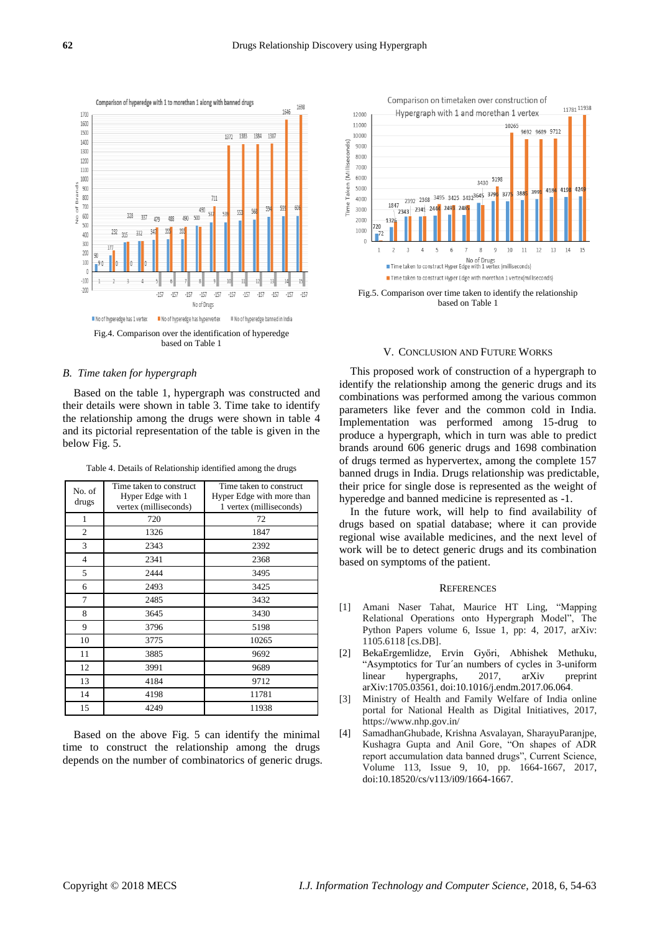

#### *B. Time taken for hypergraph*

Based on the table 1, hypergraph was constructed and their details were shown in table 3. Time take to identify the relationship among the drugs were shown in table 4 and its pictorial representation of the table is given in the below Fig. 5.

Table 4. Details of Relationship identified among the drugs

| No. of<br>drugs | Time taken to construct<br>Hyper Edge with 1<br>vertex (milliseconds) | Time taken to construct<br>Hyper Edge with more than<br>1 vertex (milliseconds) |
|-----------------|-----------------------------------------------------------------------|---------------------------------------------------------------------------------|
| 1               | 720                                                                   | 72                                                                              |
| 2               | 1326                                                                  | 1847                                                                            |
| 3               | 2343                                                                  | 2392                                                                            |
| $\overline{4}$  | 2341                                                                  | 2368                                                                            |
| 5               | 2444                                                                  | 3495                                                                            |
| 6               | 2493                                                                  | 3425                                                                            |
| 7               | 2485                                                                  | 3432                                                                            |
| 8               | 3645                                                                  | 3430                                                                            |
| 9               | 3796                                                                  | 5198                                                                            |
| 10              | 3775                                                                  | 10265                                                                           |
| 11              | 3885                                                                  | 9692                                                                            |
| 12              | 3991                                                                  | 9689                                                                            |
| 13              | 4184                                                                  | 9712                                                                            |
| 14              | 4198                                                                  | 11781                                                                           |
| 15              | 4249                                                                  | 11938                                                                           |

Based on the above Fig. 5 can identify the minimal time to construct the relationship among the drugs depends on the number of combinatorics of generic drugs.



based on Table 1

#### V. CONCLUSION AND FUTURE WORKS

This proposed work of construction of a hypergraph to identify the relationship among the generic drugs and its combinations was performed among the various common parameters like fever and the common cold in India. Implementation was performed among 15-drug to produce a hypergraph, which in turn was able to predict brands around 606 generic drugs and 1698 combination of drugs termed as hypervertex, among the complete 157 banned drugs in India. Drugs relationship was predictable, their price for single dose is represented as the weight of hyperedge and banned medicine is represented as -1.

In the future work, will help to find availability of drugs based on spatial database; where it can provide regional wise available medicines, and the next level of work will be to detect generic drugs and its combination based on symptoms of the patient.

#### **REFERENCES**

- [1] Amani Naser Tahat, Maurice HT Ling, "Mapping Relational Operations onto Hypergraph Model", The Python Papers volume 6, Issue 1, pp: 4, 2017, arXiv: 1105.6118 [cs.DB].
- [2] BekaErgemlidze, Ervin Győri, Abhishek Methuku, "Asymptotics for Tur´an numbers of cycles in 3-uniform linear hypergraphs, 2017, arXiv preprint arXiv:1705.03561, doi:10.1016/j.endm.2017.06.064.
- [3] Ministry of Health and Family Welfare of India online portal for National Health as Digital Initiatives, 2017, https://www.nhp.gov.in/
- [4] SamadhanGhubade, Krishna Asvalayan, SharayuParanjpe, Kushagra Gupta and Anil Gore, "On shapes of ADR report accumulation data banned drugs", Current Science, Volume 113, Issue 9, 10, pp. 1664-1667, 2017, doi:10.18520/cs/v113/i09/1664-1667.